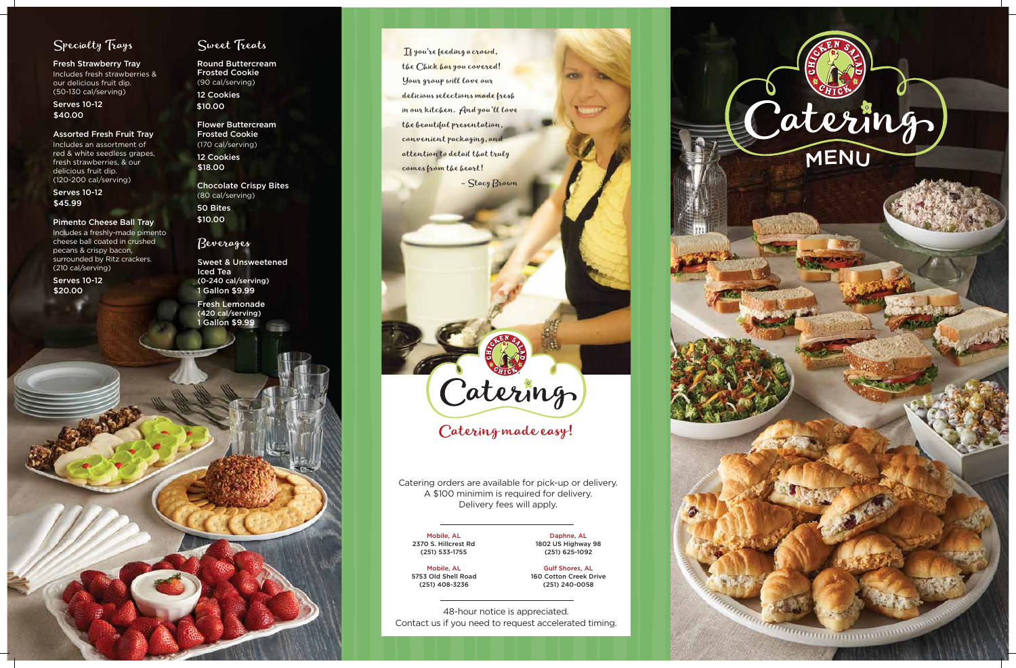



Fresh Strawberry Tray Includes fresh strawberries & our delicious fruit dip. (50-130 cal/serving)

Assorted Fresh Fruit Tray

Includes an assortment of red & white seedless grapes, fresh strawberries, & our delicious fruit dip . (120-200 cal/serving)

Pimento Cheese Ball Tray Includes a freshly-made pimento cheese ball coated in crushed pecans & crispy bacon, surrounded by Ritz crackers. (210 cal/serving)

## Sweet Treats

Round Buttercream Frosted Cookie (90 cal/serving) 12 Cookies

Frosted Cookie (170 cal/serving) 12 Cookies

Chocolate Crispy Bites (80 cal/serving) 50 Bites

\$10.00

 If you're feeding a crowd, the Chick has you covered! Your group ll love our delicious selections made fresh in our kitchen. And you'll love the beautiful presentation, convenient packaging, and attention to detail that truly comes from the heart!

– Stacy Brown

Catering made easy!<br>Catering made easy!<br>Catering orders are available for pick-up or delivery.<br>A \$100 minimim is required for delivery.<br>Delivery fees will apply.<br>Delivery fees will apply.<br>This mobile, AL<br>2370 S. Hillcrest

Serves 10-12 \$ 4 0 . 0 0

Serves 10-12 \$ 4 5 . 9 9

Serves 10-12 \$ 2 0 . 0 0

Flower Buttercream \$ 1 0 . 0 0

\$ 1 8 . 0 0

## B everages

1 Gallon \$9.99 Sweet & Unsweetened I c e d Te a (0-240 cal/serving)

1 Gallon \$9.99 Fresh Lemonade (420 cal/serving)



48-hour notice is appreciated.